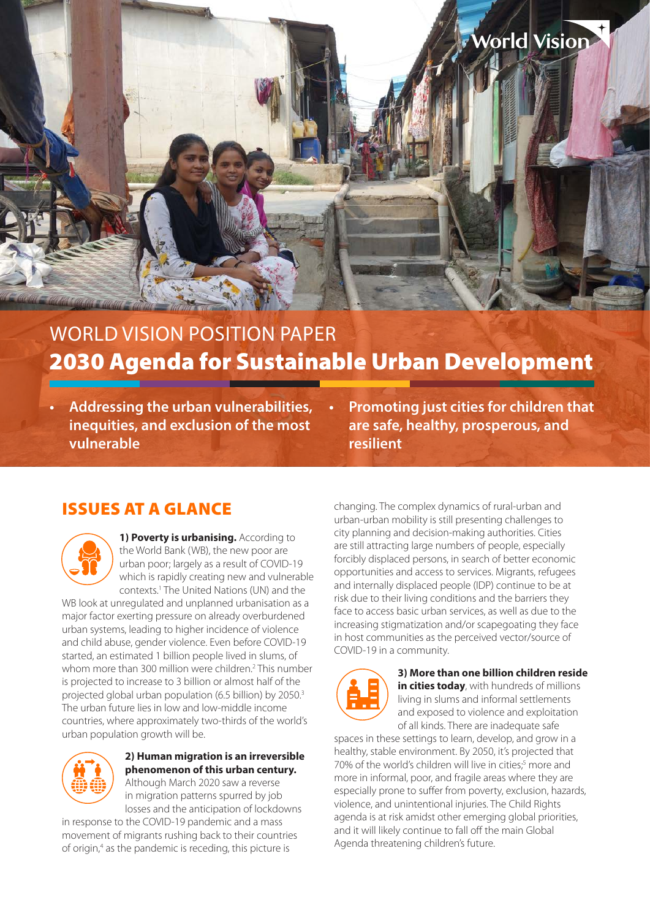# <span id="page-0-0"></span>World Vision

# WORLD VISION POSITION PAPER 2030 Agenda for Sustainable Urban Development

- **• Addressing the urban vulnerabilities, inequities, and exclusion of the most vulnerable**
- **• Promoting just cities for children that are safe, healthy, prosperous, and resilient**

# ISSUES AT A GLANCE



**1) Poverty is urbanising.** According to the World Bank (WB), the new poor are urban poor; largely as a result of COVID-19 which is rapidly creating new and vulnerable contexts[.1](#page-5-0) The United Nations (UN) and the

WB look at unregulated and unplanned urbanisation as a major factor exerting pressure on already overburdened urban systems, leading to higher incidence of violence and child abuse, gender violence. Even before COVID-19 started, an estimated 1 billion people lived in slums, of whom more than 300 million were children.<sup>2</sup> This number is projected to increase to 3 billion or almost half of the projected global urban population (6.5 billion) by 2050[.3](#page-5-0) The urban future lies in low and low-middle income countries, where approximately two-thirds of the world's urban population growth will be.



### **2) Human migration is an irreversible phenomenon of this urban century.**  Although March 2020 saw a reverse

in migration patterns spurred by job losses and the anticipation of lockdowns in response to the COVID-19 pandemic and a mass

movement of migrants rushing back to their countries of origin,<sup>[4](#page-5-0)</sup> as the pandemic is receding, this picture is

changing. The complex dynamics of rural-urban and urban-urban mobility is still presenting challenges to city planning and decision-making authorities. Cities are still attracting large numbers of people, especially forcibly displaced persons, in search of better economic opportunities and access to services. Migrants, refugees and internally displaced people (IDP) continue to be at risk due to their living conditions and the barriers they face to access basic urban services, as well as due to the increasing stigmatization and/or scapegoating they face in host communities as the perceived vector/source of COVID-19 in a community.



**3) More than one billion children reside in cities today**, with hundreds of millions living in slums and informal settlements and exposed to violence and exploitation of all kinds. There are inadequate safe

spaces in these settings to learn, develop, and grow in a healthy, stable environment. By 2050, it's projected that 70% of the world's children will live in cities;<sup>5</sup> more and more in informal, poor, and fragile areas where they are especially prone to suffer from poverty, exclusion, hazards, violence, and unintentional injuries. The Child Rights agenda is at risk amidst other emerging global priorities, and it will likely continue to fall off the main Global Agenda threatening children's future.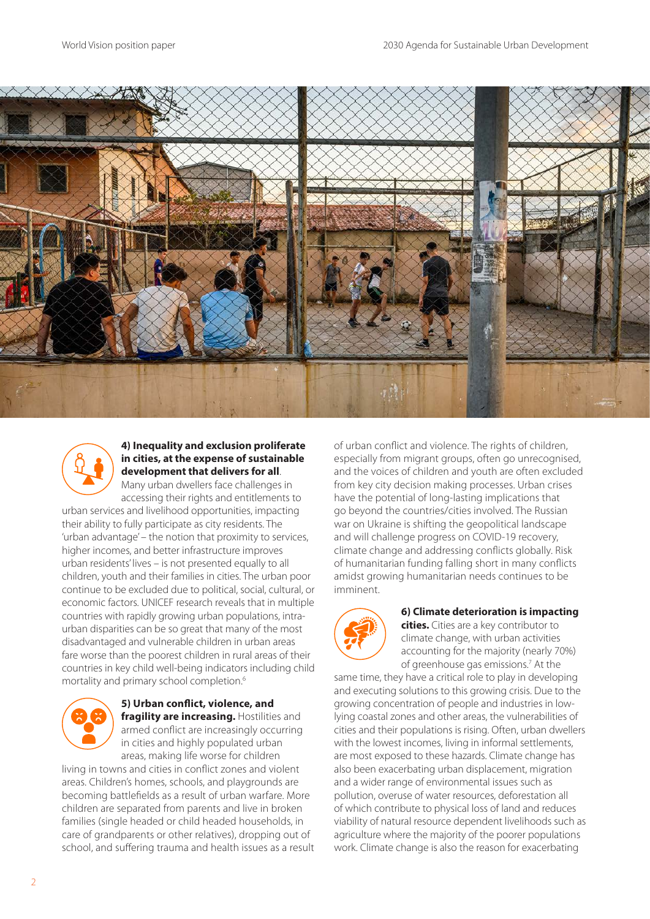



### **4) Inequality and exclusion proliferate in cities, at the expense of sustainable development that delivers for all**. Many urban dwellers face challenges in

accessing their rights and entitlements to urban services and livelihood opportunities, impacting their ability to fully participate as city residents. The 'urban advantage' – the notion that proximity to services, higher incomes, and better infrastructure improves urban residents' lives – is not presented equally to all children, youth and their families in cities. The urban poor continue to be excluded due to political, social, cultural, or economic factors. UNICEF research reveals that in multiple countries with rapidly growing urban populations, intraurban disparities can be so great that many of the most disadvantaged and vulnerable children in urban areas fare worse than the poorest children in rural areas of their countries in key child well-being indicators including child mortality and primary school completion.<sup>6</sup>



### **5) Urban conflict, violence, and**  fragility are increasing. Hostilities and armed conflict are increasingly occurring in cities and highly populated urban areas, making life worse for children

living in towns and cities in conflict zones and violent areas. Children's homes, schools, and playgrounds are becoming battlefields as a result of urban warfare. More children are separated from parents and live in broken families (single headed or child headed households, in care of grandparents or other relatives), dropping out of school, and suffering trauma and health issues as a result of urban conflict and violence. The rights of children, especially from migrant groups, often go unrecognised, and the voices of children and youth are often excluded from key city decision making processes. Urban crises have the potential of long-lasting implications that go beyond the countries/cities involved. The Russian war on Ukraine is shifting the geopolitical landscape and will challenge progress on COVID-19 recovery, climate change and addressing conflicts globally. Risk of humanitarian funding falling short in many conflicts amidst growing humanitarian needs continues to be imminent.



### **6) Climate deterioration is impacting**

**cities.** Cities are a key contributor to climate change, with urban activities accounting for the majority (nearly 70%) of greenhouse gas emissions.<sup>7</sup> At the

same time, they have a critical role to play in developing and executing solutions to this growing crisis. Due to the growing concentration of people and industries in lowlying coastal zones and other areas, the vulnerabilities of cities and their populations is rising. Often, urban dwellers with the lowest incomes, living in informal settlements, are most exposed to these hazards. Climate change has also been exacerbating urban displacement, migration and a wider range of environmental issues such as pollution, overuse of water resources, deforestation all of which contribute to physical loss of land and reduces viability of natural resource dependent livelihoods such as agriculture where the majority of the poorer populations work. Climate change is also the reason for exacerbating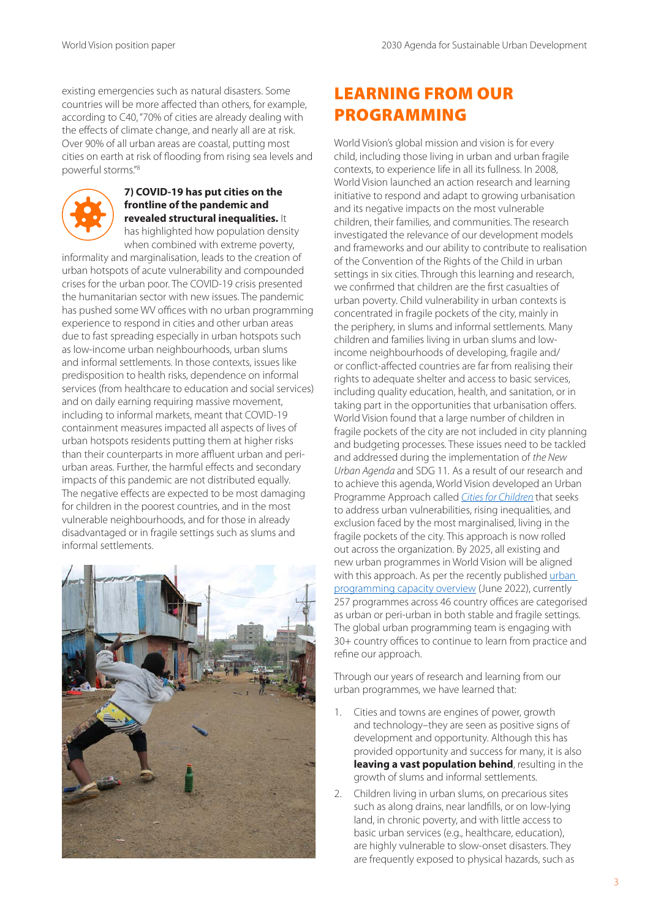existing emergencies such as natural disasters. Some countries will be more affected than others, for example, according to C40, "70% of cities are already dealing with the effects of climate change, and nearly all are at risk. Over 90% of all urban areas are coastal, putting most cities on earth at risk of flooding from rising sea levels and powerful storms."[8](#page-5-0)



### **7) COVID-19 has put cities on the frontline of the pandemic and revealed structural inequalities.** It has highlighted how population density

when combined with extreme poverty, informality and marginalisation, leads to the creation of urban hotspots of acute vulnerability and compounded crises for the urban poor. The COVID-19 crisis presented the humanitarian sector with new issues. The pandemic has pushed some WV offices with no urban programming experience to respond in cities and other urban areas due to fast spreading especially in urban hotspots such as low-income urban neighbourhoods, urban slums and informal settlements. In those contexts, issues like predisposition to health risks, dependence on informal services (from healthcare to education and social services) and on daily earning requiring massive movement, including to informal markets, meant that COVID-19 containment measures impacted all aspects of lives of urban hotspots residents putting them at higher risks than their counterparts in more affluent urban and periurban areas. Further, the harmful effects and secondary impacts of this pandemic are not distributed equally. The negative effects are expected to be most damaging for children in the poorest countries, and in the most vulnerable neighbourhoods, and for those in already disadvantaged or in fragile settings such as slums and informal settlements.



# LEARNING FROM OUR PROGRAMMING

World Vision's global mission and vision is for every child, including those living in urban and urban fragile contexts, to experience life in all its fullness. In 2008, World Vision launched an action research and learning initiative to respond and adapt to growing urbanisation and its negative impacts on the most vulnerable children, their families, and communities. The research investigated the relevance of our development models and frameworks and our ability to contribute to realisation of the Convention of the Rights of the Child in urban settings in six cities. Through this learning and research, we confirmed that children are the first casualties of urban poverty. Child vulnerability in urban contexts is concentrated in fragile pockets of the city, mainly in the periphery, in slums and informal settlements. Many children and families living in urban slums and lowincome neighbourhoods of developing, fragile and/ or conflict-affected countries are far from realising their rights to adequate shelter and access to basic services, including quality education, health, and sanitation, or in taking part in the opportunities that urbanisation offers. World Vision found that a large number of children in fragile pockets of the city are not included in city planning and budgeting processes. These issues need to be tackled and addressed during the implementation of *the New Urban Agenda* and SDG 11*.* As a result of our research and to achieve this agenda, World Vision developed an Urban Programme Approach called *[Cities for Children](https://www.wvi.org/urban-programmes/cities-children-framework)* that seeks to address urban vulnerabilities, rising inequalities, and exclusion faced by the most marginalised, living in the fragile pockets of the city. This approach is now rolled out across the organization. By 2025, all existing and new urban programmes in World Vision will be aligned with this approach. As per the recently published urban [programming capacity overview](https://www.wvi.org/publications/world-visions-urban-programming-capacity-overview) (June 2022), currently 257 programmes across 46 country offices are categorised as urban or peri-urban in both stable and fragile settings. The global urban programming team is engaging with 30+ country offices to continue to learn from practice and refine our approach.

Through our years of research and learning from our urban programmes, we have learned that:

- 1. Cities and towns are engines of power, growth and technology–they are seen as positive signs of development and opportunity. Although this has provided opportunity and success for many, it is also **leaving a vast population behind**, resulting in the growth of slums and informal settlements.
- 2. Children living in urban slums, on precarious sites such as along drains, near landfills, or on low-lying land, in chronic poverty, and with little access to basic urban services (e.g., healthcare, education), are highly vulnerable to slow-onset disasters. They are frequently exposed to physical hazards, such as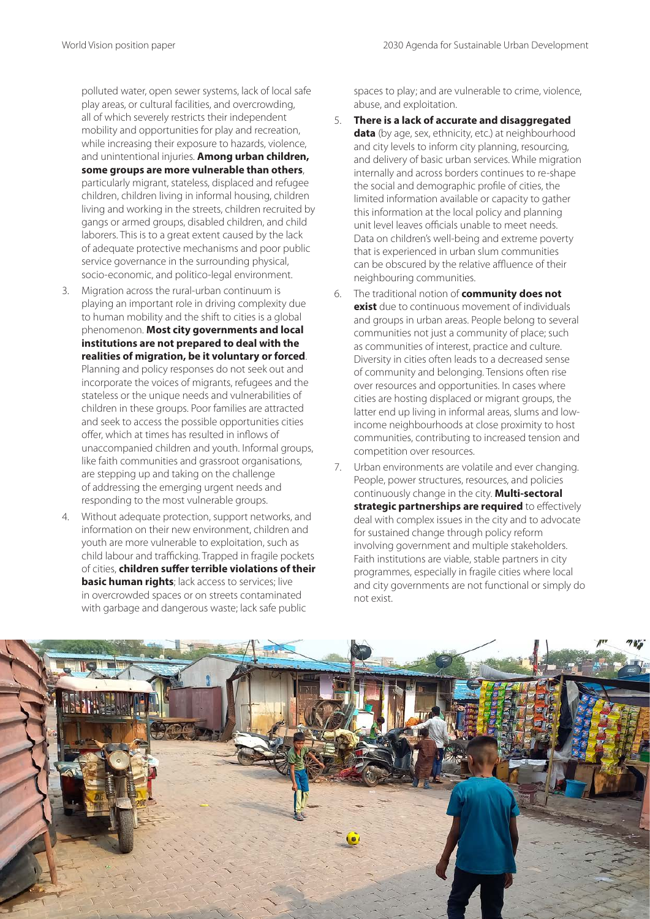polluted water, open sewer systems, lack of local safe play areas, or cultural facilities, and overcrowding, all of which severely restricts their independent mobility and opportunities for play and recreation, while increasing their exposure to hazards, violence, and unintentional injuries. **Among urban children, some groups are more vulnerable than others**, particularly migrant, stateless, displaced and refugee children, children living in informal housing, children living and working in the streets, children recruited by gangs or armed groups, disabled children, and child laborers. This is to a great extent caused by the lack of adequate protective mechanisms and poor public service governance in the surrounding physical, socio-economic, and politico-legal environment.

- 3. Migration across the rural-urban continuum is playing an important role in driving complexity due to human mobility and the shift to cities is a global phenomenon. **Most city governments and local institutions are not prepared to deal with the realities of migration, be it voluntary or forced**. Planning and policy responses do not seek out and incorporate the voices of migrants, refugees and the stateless or the unique needs and vulnerabilities of children in these groups. Poor families are attracted and seek to access the possible opportunities cities offer, which at times has resulted in inflows of unaccompanied children and youth. Informal groups, like faith communities and grassroot organisations, are stepping up and taking on the challenge of addressing the emerging urgent needs and responding to the most vulnerable groups.
- 4. Without adequate protection, support networks, and information on their new environment, children and youth are more vulnerable to exploitation, such as child labour and trafficking. Trapped in fragile pockets of cities, **children suffer terrible violations of their basic human rights**; lack access to services; live in overcrowded spaces or on streets contaminated with garbage and dangerous waste; lack safe public

spaces to play; and are vulnerable to crime, violence, abuse, and exploitation.

- 5. **There is a lack of accurate and disaggregated data** (by age, sex, ethnicity, etc.) at neighbourhood and city levels to inform city planning, resourcing, and delivery of basic urban services. While migration internally and across borders continues to re-shape the social and demographic profile of cities, the limited information available or capacity to gather this information at the local policy and planning unit level leaves officials unable to meet needs. Data on children's well-being and extreme poverty that is experienced in urban slum communities can be obscured by the relative affluence of their neighbouring communities.
- 6. The traditional notion of **community does not exist** due to continuous movement of individuals and groups in urban areas. People belong to several communities not just a community of place; such as communities of interest, practice and culture. Diversity in cities often leads to a decreased sense of community and belonging. Tensions often rise over resources and opportunities. In cases where cities are hosting displaced or migrant groups, the latter end up living in informal areas, slums and lowincome neighbourhoods at close proximity to host communities, contributing to increased tension and competition over resources.
- 7. Urban environments are volatile and ever changing. People, power structures, resources, and policies continuously change in the city. **Multi-sectoral strategic partnerships are required** to effectively deal with complex issues in the city and to advocate for sustained change through policy reform involving government and multiple stakeholders. Faith institutions are viable, stable partners in city programmes, especially in fragile cities where local and city governments are not functional or simply do not exist.

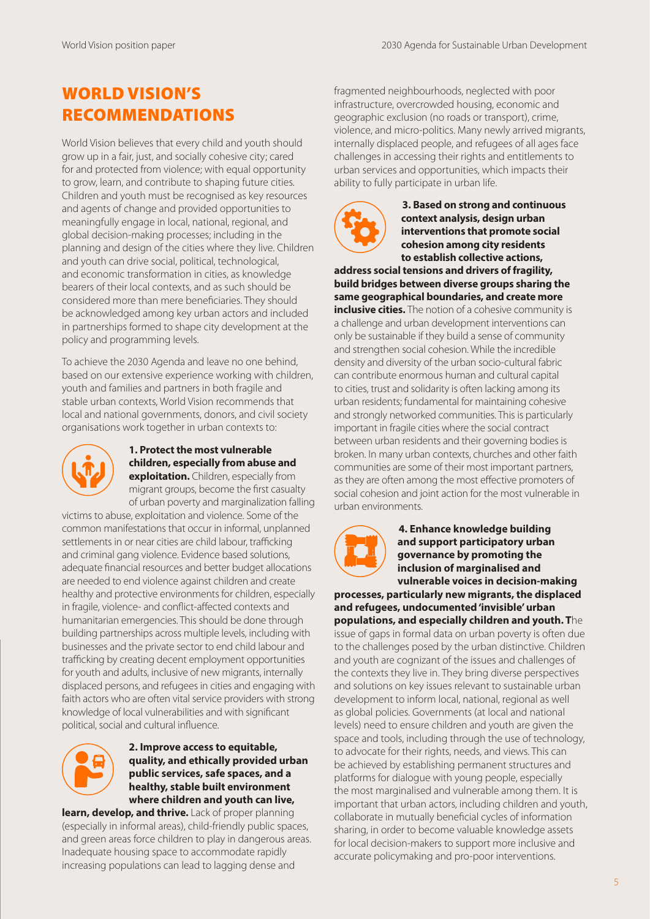## WORLD VISION'S RECOMMENDATIONS

World Vision believes that every child and youth should grow up in a fair, just, and socially cohesive city; cared for and protected from violence; with equal opportunity to grow, learn, and contribute to shaping future cities. Children and youth must be recognised as key resources and agents of change and provided opportunities to meaningfully engage in local, national, regional, and global decision-making processes; including in the planning and design of the cities where they live. Children and youth can drive social, political, technological, and economic transformation in cities, as knowledge bearers of their local contexts, and as such should be considered more than mere beneficiaries. They should be acknowledged among key urban actors and included in partnerships formed to shape city development at the policy and programming levels.

To achieve the 2030 Agenda and leave no one behind, based on our extensive experience working with children, youth and families and partners in both fragile and stable urban contexts, World Vision recommends that local and national governments, donors, and civil society organisations work together in urban contexts to:



### **1. Protect the most vulnerable children, especially from abuse and exploitation.** Children, especially from migrant groups, become the first casualty of urban poverty and marginalization falling

victims to abuse, exploitation and violence. Some of the common manifestations that occur in informal, unplanned settlements in or near cities are child labour, trafficking and criminal gang violence. Evidence based solutions, adequate financial resources and better budget allocations are needed to end violence against children and create healthy and protective environments for children, especially in fragile, violence- and conflict-affected contexts and humanitarian emergencies. This should be done through building partnerships across multiple levels, including with businesses and the private sector to end child labour and trafficking by creating decent employment opportunities for youth and adults, inclusive of new migrants, internally displaced persons, and refugees in cities and engaging with faith actors who are often vital service providers with strong knowledge of local vulnerabilities and with significant political, social and cultural influence.



### **2. Improve access to equitable, quality, and ethically provided urban public services, safe spaces, and a healthy, stable built environment where children and youth can live,**

**learn, develop, and thrive.** Lack of proper planning (especially in informal areas), child-friendly public spaces, and green areas force children to play in dangerous areas. Inadequate housing space to accommodate rapidly increasing populations can lead to lagging dense and

fragmented neighbourhoods, neglected with poor infrastructure, overcrowded housing, economic and geographic exclusion (no roads or transport), crime, violence, and micro-politics. Many newly arrived migrants, internally displaced people, and refugees of all ages face challenges in accessing their rights and entitlements to urban services and opportunities, which impacts their ability to fully participate in urban life.



**3. Based on strong and continuous context analysis, design urban interventions that promote social cohesion among city residents to establish collective actions,** 

**address social tensions and drivers of fragility, build bridges between diverse groups sharing the same geographical boundaries, and create more inclusive cities.** The notion of a cohesive community is a challenge and urban development interventions can only be sustainable if they build a sense of community and strengthen social cohesion. While the incredible density and diversity of the urban socio-cultural fabric can contribute enormous human and cultural capital to cities, trust and solidarity is often lacking among its urban residents; fundamental for maintaining cohesive and strongly networked communities. This is particularly important in fragile cities where the social contract between urban residents and their governing bodies is broken. In many urban contexts, churches and other faith communities are some of their most important partners, as they are often among the most effective promoters of social cohesion and joint action for the most vulnerable in urban environments.



**4. Enhance knowledge building and support participatory urban governance by promoting the inclusion of marginalised and vulnerable voices in decision-making** 

**processes, particularly new migrants, the displaced and refugees, undocumented 'invisible' urban populations, and especially children and youth. T**he issue of gaps in formal data on urban poverty is often due to the challenges posed by the urban distinctive. Children and youth are cognizant of the issues and challenges of the contexts they live in. They bring diverse perspectives and solutions on key issues relevant to sustainable urban development to inform local, national, regional as well as global policies. Governments (at local and national levels) need to ensure children and youth are given the space and tools, including through the use of technology, to advocate for their rights, needs, and views. This can be achieved by establishing permanent structures and platforms for dialogue with young people, especially the most marginalised and vulnerable among them. It is important that urban actors, including children and youth, collaborate in mutually beneficial cycles of information sharing, in order to become valuable knowledge assets for local decision-makers to support more inclusive and accurate policymaking and pro-poor interventions.